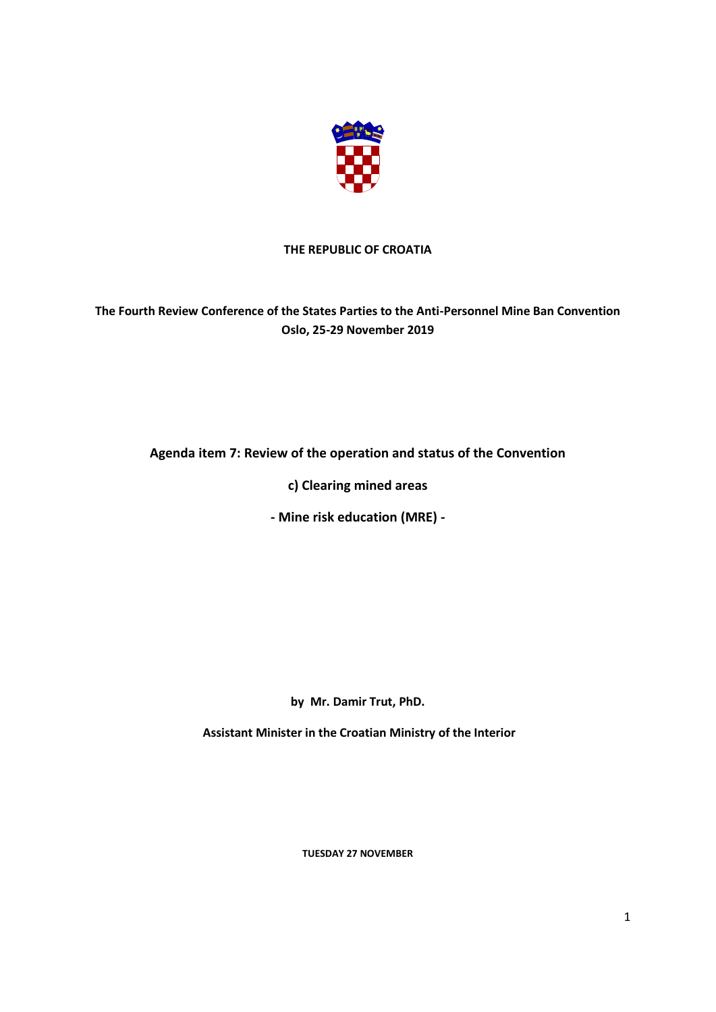

## **THE REPUBLIC OF CROATIA**

## **The Fourth Review Conference of the States Parties to the Anti-Personnel Mine Ban Convention Oslo, 25-29 November 2019**

## **Agenda item 7: Review of the operation and status of the Convention**

**c) Clearing mined areas**

**- Mine risk education (MRE) -**

**by Mr. Damir Trut, PhD.**

**Assistant Minister in the Croatian Ministry of the Interior**

**TUESDAY 27 NOVEMBER**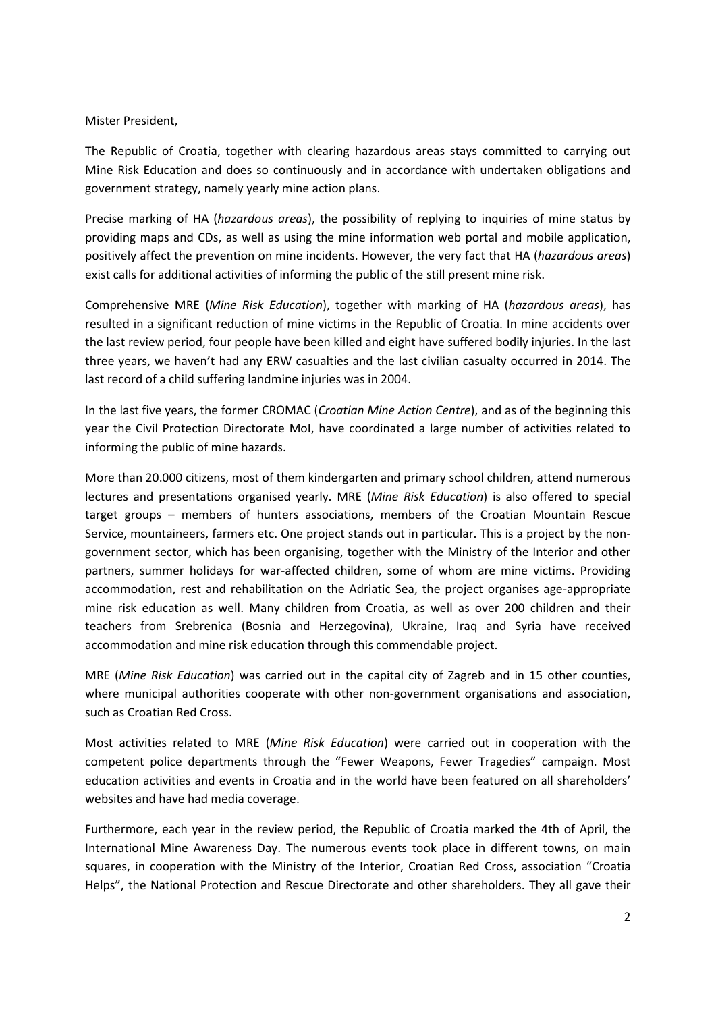## Mister President,

The Republic of Croatia, together with clearing hazardous areas stays committed to carrying out Mine Risk Education and does so continuously and in accordance with undertaken obligations and government strategy, namely yearly mine action plans.

Precise marking of HA (*hazardous areas*), the possibility of replying to inquiries of mine status by providing maps and CDs, as well as using the mine information web portal and mobile application, positively affect the prevention on mine incidents. However, the very fact that HA (*hazardous areas*) exist calls for additional activities of informing the public of the still present mine risk.

Comprehensive MRE (*Mine Risk Education*), together with marking of HA (*hazardous areas*), has resulted in a significant reduction of mine victims in the Republic of Croatia. In mine accidents over the last review period, four people have been killed and eight have suffered bodily injuries. In the last three years, we haven't had any ERW casualties and the last civilian casualty occurred in 2014. The last record of a child suffering landmine injuries was in 2004.

In the last five years, the former CROMAC (*Croatian Mine Action Centre*), and as of the beginning this year the Civil Protection Directorate MoI, have coordinated a large number of activities related to informing the public of mine hazards.

More than 20.000 citizens, most of them kindergarten and primary school children, attend numerous lectures and presentations organised yearly. MRE (*Mine Risk Education*) is also offered to special target groups – members of hunters associations, members of the Croatian Mountain Rescue Service, mountaineers, farmers etc. One project stands out in particular. This is a project by the nongovernment sector, which has been organising, together with the Ministry of the Interior and other partners, summer holidays for war-affected children, some of whom are mine victims. Providing accommodation, rest and rehabilitation on the Adriatic Sea, the project organises age-appropriate mine risk education as well. Many children from Croatia, as well as over 200 children and their teachers from Srebrenica (Bosnia and Herzegovina), Ukraine, Iraq and Syria have received accommodation and mine risk education through this commendable project.

MRE (*Mine Risk Education*) was carried out in the capital city of Zagreb and in 15 other counties, where municipal authorities cooperate with other non-government organisations and association, such as Croatian Red Cross.

Most activities related to MRE (*Mine Risk Education*) were carried out in cooperation with the competent police departments through the "Fewer Weapons, Fewer Tragedies" campaign. Most education activities and events in Croatia and in the world have been featured on all shareholders' websites and have had media coverage.

Furthermore, each year in the review period, the Republic of Croatia marked the 4th of April, the International Mine Awareness Day. The numerous events took place in different towns, on main squares, in cooperation with the Ministry of the Interior, Croatian Red Cross, association "Croatia Helps", the National Protection and Rescue Directorate and other shareholders. They all gave their